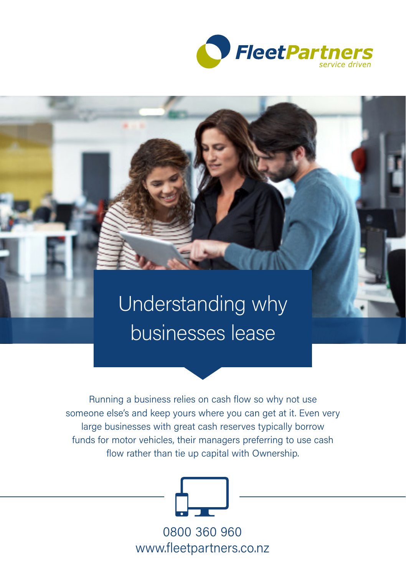

# Understanding why businesses lease

Running a business relies on cash flow so why not use someone else's and keep yours where you can get at it. Even very large businesses with great cash reserves typically borrow funds for motor vehicles, their managers preferring to use cash flow rather than tie up capital with Ownership.



0800 360 960 www.fleetpartners.co.nz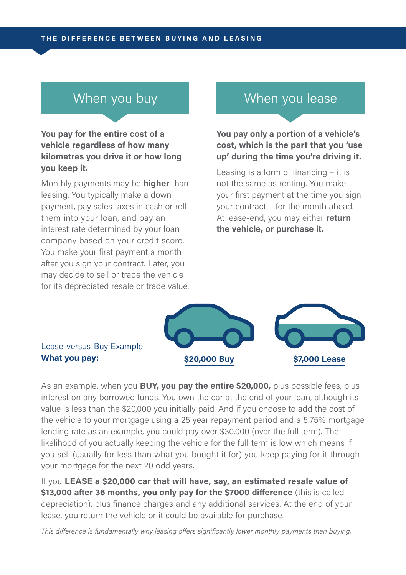**You pay for the entire cost of a vehicle regardless of how many kilometres you drive it or how long you keep it.**

Monthly payments may be **higher** than leasing. You typically make a down payment, pay sales taxes in cash or roll them into your loan, and pay an interest rate determined by your loan company based on your credit score. You make your first payment a month after you sign your contract. Later, you may decide to sell or trade the vehicle for its depreciated resale or trade value.

#### When you buy **When you lease**

**You pay only a portion of a vehicle's cost, which is the part that you 'use up' during the time you're driving it.**

Leasing is a form of financing – it is not the same as renting. You make your first payment at the time you sign your contract – for the month ahead. At lease-end, you may either **return the vehicle, or purchase it.**



## Lease-versus-Buy Example

As an example, when you **BUY, you pay the entire \$20,000,** plus possible fees, plus interest on any borrowed funds. You own the car at the end of your loan, although its value is less than the \$20,000 you initially paid. And if you choose to add the cost of the vehicle to your mortgage using a 25 year repayment period and a 5.75% mortgage lending rate as an example, you could pay over \$30,000 (over the full term). The likelihood of you actually keeping the vehicle for the full term is low which means if you sell (usually for less than what you bought it for) you keep paying for it through your mortgage for the next 20 odd years.

If you **LEASE a \$20,000 car that will have, say, an estimated resale value of \$13,000 after 36 months, you only pay for the \$7000 difference** (this is called depreciation), plus finance charges and any additional services. At the end of your lease, you return the vehicle or it could be available for purchase.

*This difference is fundamentally why leasing offers significantly lower monthly payments than buying.*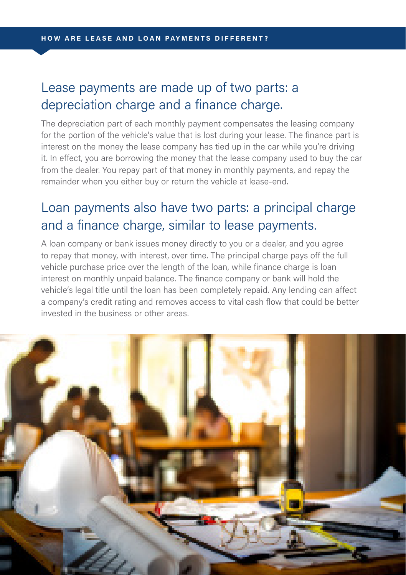### Lease payments are made up of two parts: a depreciation charge and a finance charge.

The depreciation part of each monthly payment compensates the leasing company for the portion of the vehicle's value that is lost during your lease. The finance part is interest on the money the lease company has tied up in the car while you're driving it. In effect, you are borrowing the money that the lease company used to buy the car from the dealer. You repay part of that money in monthly payments, and repay the remainder when you either buy or return the vehicle at lease-end.

#### Loan payments also have two parts: a principal charge and a finance charge, similar to lease payments.

A loan company or bank issues money directly to you or a dealer, and you agree to repay that money, with interest, over time. The principal charge pays off the full vehicle purchase price over the length of the loan, while finance charge is loan interest on monthly unpaid balance. The finance company or bank will hold the vehicle's legal title until the loan has been completely repaid. Any lending can affect a company's credit rating and removes access to vital cash flow that could be better invested in the business or other areas.

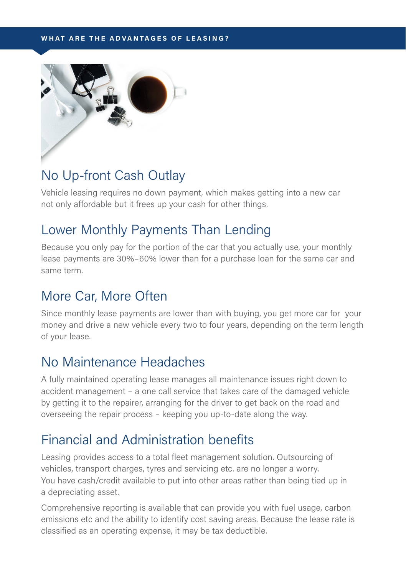#### **WHAT ARE THE ADVANTAGES OF LEASING?**



#### No Up-front Cash Outlay

Vehicle leasing requires no down payment, which makes getting into a new car not only affordable but it frees up your cash for other things.

#### Lower Monthly Payments Than Lending

Because you only pay for the portion of the car that you actually use, your monthly lease payments are 30%–60% lower than for a purchase loan for the same car and same term.

#### More Car, More Often

Since monthly lease payments are lower than with buying, you get more car for your money and drive a new vehicle every two to four years, depending on the term length of your lease.

#### No Maintenance Headaches

A fully maintained operating lease manages all maintenance issues right down to accident management – a one call service that takes care of the damaged vehicle by getting it to the repairer, arranging for the driver to get back on the road and overseeing the repair process – keeping you up-to-date along the way.

#### Financial and Administration benefits

Leasing provides access to a total fleet management solution. Outsourcing of vehicles, transport charges, tyres and servicing etc. are no longer a worry. You have cash/credit available to put into other areas rather than being tied up in a depreciating asset.

Comprehensive reporting is available that can provide you with fuel usage, carbon emissions etc and the ability to identify cost saving areas. Because the lease rate is classified as an operating expense, it may be tax deductible.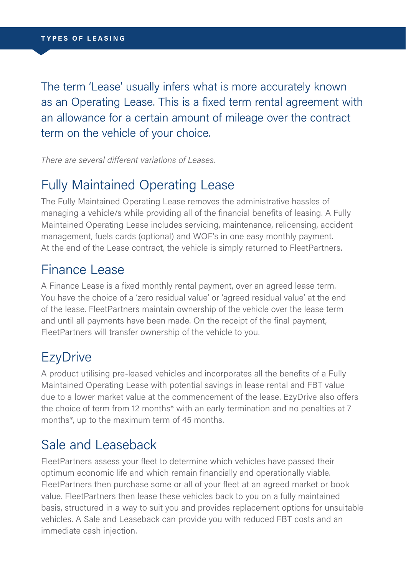The term 'Lease' usually infers what is more accurately known as an Operating Lease. This is a fixed term rental agreement with an allowance for a certain amount of mileage over the contract term on the vehicle of your choice.

*There are several different variations of Leases.*

#### Fully Maintained Operating Lease

The Fully Maintained Operating Lease removes the administrative hassles of managing a vehicle/s while providing all of the financial benefits of leasing. A Fully Maintained Operating Lease includes servicing, maintenance, relicensing, accident management, fuels cards (optional) and WOF's in one easy monthly payment. At the end of the Lease contract, the vehicle is simply returned to FleetPartners.

#### Finance Lease

A Finance Lease is a fixed monthly rental payment, over an agreed lease term. You have the choice of a 'zero residual value' or 'agreed residual value' at the end of the lease. FleetPartners maintain ownership of the vehicle over the lease term and until all payments have been made. On the receipt of the final payment, FleetPartners will transfer ownership of the vehicle to you.

#### **EzyDrive**

A product utilising pre-leased vehicles and incorporates all the benefits of a Fully Maintained Operating Lease with potential savings in lease rental and FBT value due to a lower market value at the commencement of the lease. EzyDrive also offers the choice of term from 12 months\* with an early termination and no penalties at 7 months\*, up to the maximum term of 45 months.

#### Sale and Leaseback

FleetPartners assess your fleet to determine which vehicles have passed their optimum economic life and which remain financially and operationally viable. FleetPartners then purchase some or all of your fleet at an agreed market or book value. FleetPartners then lease these vehicles back to you on a fully maintained basis, structured in a way to suit you and provides replacement options for unsuitable vehicles. A Sale and Leaseback can provide you with reduced FBT costs and an immediate cash injection.